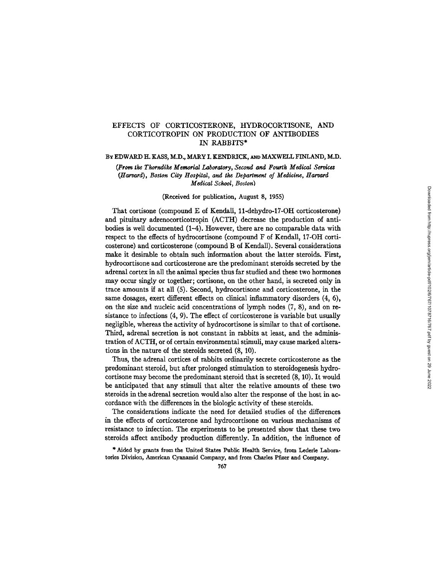# EFFECTS OF CORTICOSTERONE, HYDROCORTISONE, AND CORTICOTROPIN ON PRODUCTION OF ANTIBODIES IN RABBITS\*

# *(Harvard), Boston City Hospital, and the Department of Medidne, Harvard Medical School, Boston)*

(Harvard), Boston City Hospital, and the Department of Medicine, Harvard  $T$  corticosterone (compone),  $L$ 

# (Received for publication, August 8, 1955)

bodies is well documented (1--4). However, there are no comparable data with respect to the effect of the effects of the effect of the effect of the correction of the correction of  $\mu$  and  $\mu$  and  $\mu$  and  $\mu$  and  $\mu$ and pituitary adrenocorticotropin (ACTH) decrease the production of antibodies is well documented  $(1-4)$ . However, there are no comparable data with respect to the effects of hydrocortisone (compound F of Kendall, 17-OH corticosterone) and corticosterone (compound B of Kendall). Several considerations make it desirable to obtain such information about the latter steroids. First, hydrocortisone and corticosterone are the predominant steroids secreted by the adrenal cortex in all the animal species thus far studied and these two hormones may occur singly or together; cortisone, on the other hand, is secreted only in trace amounts if at all  $(5)$ . Second, hydrocortisone and corticosterone, in the same dosages, exert different effects on clinical inflammatory disorders  $(4, 6)$ . on the size and nucleic acid concentrations of lymph nodes  $(7, 8)$ , and on resistance to infections  $(4, 9)$ . The effect of corticosterone is variable but usually negligible, whereas the activity of hydrocortisone is similar to that of cortisone. Third, adrenal secretion is not constant in rabbits at least, and the administration of ACTH, or of certain environmental stimuli, may cause marked alterations in the nature of the steroids secreted  $(8, 10)$ .

Thus, the adrenal cortices of rabbits ordinarily secrete corticosterone as the predominant steroid, but after prolonged stimulation to steroidogenesis hydrocortisone may become the predominant steroid that is secreted (8, 10). It would be anticipated that any stimuli that alter the relative amounts of these two steroids in the adrenal secretion would also alter the response of the host in accordance with the differences in the biologic activity of these steroids.

The considerations indicate the need for detailed studies of the differences in the effects of corticosterone and hydrocortisone on various mechanisms of resistance to infection. The experiments to be presented show that these two tories and the Division Company, and from Charles Pfizer and Charles Pfizer and Company, and Company. 767

tories Division, American Cyanamid Company, and from Charles Pfizer and Company.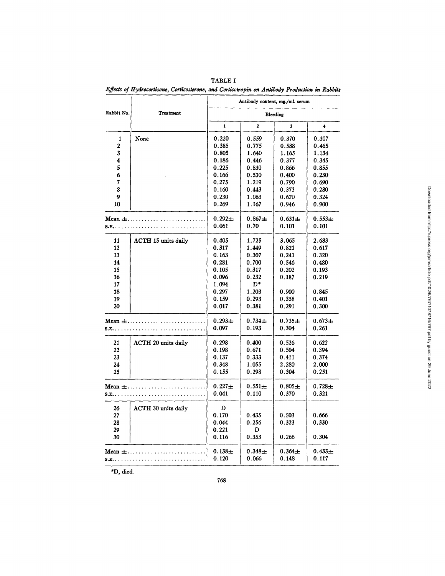|                         |                            |             | Antibody content, mg./ml. serum |             |             |
|-------------------------|----------------------------|-------------|---------------------------------|-------------|-------------|
| Rabbit No.              | <b>Treatment</b>           |             |                                 | Bleeding    |             |
|                         |                            | 1           | 2                               | 3           | 4           |
| 1                       | None                       | 0.220       | 0.559                           | 0.370       | 0.307       |
| $\overline{\mathbf{2}}$ |                            | 0.385       | 0.775                           | 0.588       | 0.465       |
| 3                       |                            | 0.805       | 1.640                           | 1.165       | 1.134       |
| 4                       |                            | 0.186       | 0.446                           | 0.377       | 0.345       |
| 5                       |                            | 0.225       | 0.830                           | 0.866       | 0.855       |
| 6                       |                            | 0.166       | 0.530                           | 0.400       | 0.230       |
| 7                       |                            | 0.275       | 1.219                           | 0.790       | 0.690       |
| 8                       |                            | 0.160       | 0.443                           | 0.373       | 0.280       |
| 9                       |                            | 0.230       | 1.063                           | 0.620       | 0.324       |
| 10                      |                            | 0.269       | 1.167                           | 0.946       | 0.900       |
| Mean $\pm$              |                            | $0.292 +$   | $0.867 +$                       | $0.631 +$   | $0.553 +$   |
| S.E                     |                            | 0.061       | 0.70                            | 0.101       | 0.101       |
| 11                      | <b>ACTH 15 units daily</b> | 0.405       | 1.725                           | 3.065       | 2.683       |
| 12                      |                            | 0.317       | 1.449                           | 0.821       | 0.617       |
| 13                      |                            | 0.163       | 0.307                           | 0.241       | 0.320       |
| 14                      |                            | 0.281       | 0.700                           | 0.546       | 0.480       |
| 15                      |                            | 0.105       | 0.317                           | 0.202       | 0.193       |
| 16                      |                            | 0.096       | 0.232                           | 0.187       | 0.219       |
| 17                      |                            | 1.094       | $_{\rm D^*}$                    |             |             |
| 18                      |                            | 0.297       | 1.203                           | 0.900       | 0.845       |
| 19                      |                            | 0.159       | 0.293                           | 0.358       | 0.401       |
| 20                      |                            | 0.017       | 0.381                           | 0.291       | 0.300       |
| Mean $\pm$              |                            | $0.293 \pm$ | $0.734 +$                       | $0.735 +$   | $0.673+$    |
|                         |                            | 0.097       | 0.193                           | 0.304       | 0.261       |
| 21                      | <b>ACTH 20 units daily</b> | 0.298       | 0.400                           | 0.526       | 0.622       |
| 22                      |                            | 0.198       | 0.671                           | 0.504       | 0.394       |
| 23                      |                            | 0.137       | 0.333                           | 0.411       | 0.374       |
| 24                      |                            | 0.348       | 1.055                           | 2.280       | 2.000       |
| 25                      |                            | 0.155       | 0.298                           | 0.304       | 0.251       |
| Mean $\pm$              |                            | $0.227 \pm$ | $0.551 +$                       | $0.805 +$   | $0.728 +$   |
| $S.E$                   |                            | 0.041       | 0.110                           | 0.370       | 0.321       |
| 26                      | <b>ACTH 30 units daily</b> | D           |                                 |             |             |
| 27                      |                            | 0.170       | 0.435                           | 0.503       | 0.666       |
| 28                      |                            | 0.044       | 0.256                           | 0.323       | 0.330       |
| 29                      |                            | 0.221       | D                               |             |             |
| 30                      |                            | 0.116       | 0.353                           | 0.266       | 0.304       |
| Mean $\pm$              |                            | $0.138 +$   | $0.348 \pm$                     | $0.364 \pm$ | $0.433 \pm$ |
| <b>S.E.</b>             |                            | 0.120       | 0.066                           | 0.148       | 0.117       |

Effects of Hydrocortisone, Corticosterone, and Corticotropin on Antibody Production in Rabbits TABLE I

\*D, died.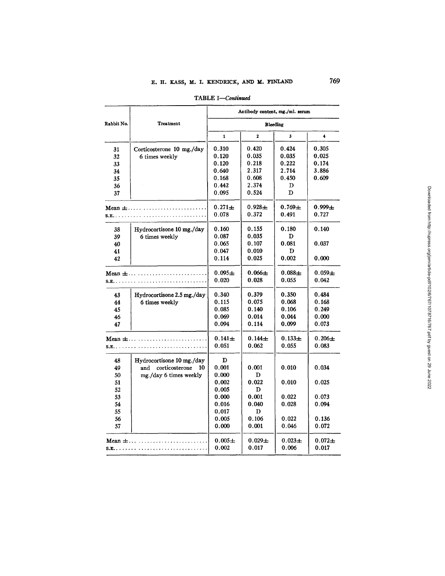|                     |                                 |                      |                    | Antibody content, mg./ml. serum |                      |
|---------------------|---------------------------------|----------------------|--------------------|---------------------------------|----------------------|
| Rabbit No.          | <b>Treatment</b>                |                      | Bleeding           |                                 |                      |
|                     |                                 | $\mathbf{1}$         | $\mathbf{2}$       | 3                               | 4                    |
| 31                  | Corticosterone 10 mg./day       | 0.310                | 0.420              | 0.424                           | 0.305                |
| 32                  | 6 times weekly                  | 0.120                | 0.035              | 0.035                           | 0.025                |
| 33                  |                                 | 0.120                | 0.218              | 0.222                           | 0.174                |
| 34                  |                                 | 0.640                | 2.317              | 2.714                           | 3.886                |
| 35                  |                                 | 0.168                | 0.608              | 0.450                           | 0.609                |
| 36                  |                                 | 0.442                | 2.374              | D                               |                      |
| 37                  |                                 | 0.095                | 0.524              | D                               |                      |
|                     | Mean $\pm$<br><b>S.E.</b>       | $0.271 \pm$<br>0.078 | $0.928 +$<br>0.372 | $0.769 +$<br>0.491              | $0.999 +$<br>0.727   |
|                     |                                 |                      |                    |                                 |                      |
| 38                  | Hydrocortisone 10 mg./day       | 0.160                | 0.155              | 0.180                           | 0.140                |
| 39                  | 6 times weekly                  | 0.087                | 0.035              | D.                              |                      |
| 40                  |                                 | 0.065                | 0.107              | 0.081                           | 0.037                |
| 41                  |                                 | 0.047                | 0.010              | D                               |                      |
| 42                  |                                 | 0.114                | 0.025              | 0.002                           | 0.000                |
|                     | Mean $\pm$                      | $0.095 \pm$          | $0.066 \pm$        | $0.088 +$                       | $0.059 +$            |
|                     | S.E.                            | 0.020                | 0.028              | 0.055                           | 0.042                |
| 43                  | Hydrocortisone 2.5 mg./day      | 0.340                | 0.379              | 0.350                           | 0.484                |
| 44                  | 6 times weekly                  | 0.115                | 0.075              | 0.068                           | 0.168                |
| 45                  |                                 | 0.085                | 0.140              | 0.106                           | 0.249                |
| 46                  |                                 | 0.069                | 0.014              | 0.044                           | 0.000                |
| 47                  |                                 | 0.094                | 0.114              | 0.099                           | 0.073                |
| Mean $\pm$<br>S.E., |                                 | $0.141 \pm$<br>0.051 | $0.144 +$<br>0.062 | $0.133 +$<br>0.055              | $0.206 +$<br>0.083   |
| 48                  | Hydrocortisone 10 mg./day       | D                    |                    |                                 |                      |
| 49                  | corticosterone<br>and<br>10     | 0.001                | 0.001              | 0.010                           | 0.034                |
| 50                  | mg./day 6 times weekly          | 0.000                | D                  |                                 |                      |
| 51                  |                                 | 0.002                | 0.022              | 0.010                           | 0.025                |
| 52                  |                                 | 0.005                | D                  |                                 |                      |
| 53                  |                                 | 0.000                | 0.001              | 0.022                           | 0.073                |
| 54                  |                                 | 0.016                | 0.040              | 0.028                           | 0.094                |
| 55                  |                                 | 0.017                | D                  |                                 |                      |
| 56                  |                                 | 0.005                | 0.106              | 0.022                           | 0.136                |
| 57                  |                                 | 0.000                | 0.001              | 0.046                           | 0.072                |
|                     | Mean $\pm \ldots \ldots \ldots$ | $0.005 \pm$<br>0.002 | $0.029 +$<br>0.017 | $0.023 \pm$<br>0.006            | $0.072 \pm$<br>0.017 |

TABLE *I--Congnued*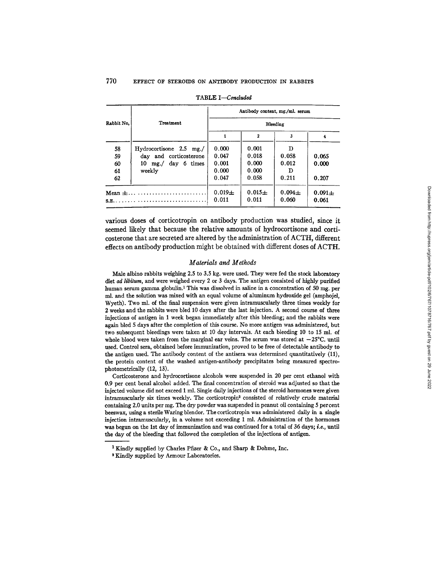|            |                           |            |             | Antibody content, mg./ml. serum |           |  |
|------------|---------------------------|------------|-------------|---------------------------------|-----------|--|
| Rabbit No. | Treatment                 | Bleeding   |             |                                 |           |  |
|            |                           |            | 2           |                                 |           |  |
| 58         | $Hydrocortisone$ 2.5 mg./ | 0.000      | 0.001       | D                               |           |  |
| 59         | day and corticosterone    | 0.047      | 0.018       | 0.058                           | 0.065     |  |
| 60         | 10 mg./ day 6 times       | 0.001      | 0.000       | 0.012                           | 0.000     |  |
| 61         | weekly                    | 0.000      | 0.000       | Ð                               |           |  |
| 62         |                           | 0.047      | 0.058       | 0.211                           | 0.207     |  |
| Mean $\pm$ |                           | $0.019\pm$ | $0.015 \pm$ | $0.094 +$                       | $0.091 +$ |  |
|            |                           | 0.011      | 0.011       | 0.060                           | 0.061     |  |

|  | TABLE I-Concluded |
|--|-------------------|
|--|-------------------|

various doses of corticotropin on antibody production was studied, since it seemed likely that because the relative amounts of hydrocortisone and corticosterone that are secreted are altered by the administration of ACTH, different effects on antibody production might be obtained with different doses of ACTH.

### *Materials and Methods*

Male albino rabbits weighing 2.5 to 3.5 kg. were used. They were fed the stock laboratory diet ad *libitum,* and were weighed every 2 or 3 days. The antigen consisted of highly purified human serum gamma globulin.<sup>1</sup> This was dissolved in saline in a concentration of 50 mg, per ml. and the solution was mixed with an equal volume of aluminum hydroxide gel (amphojel, Wyeth). Two ml. of the final suspension were given intramuscularly three times weekly for 2 weeks and the rabbits were bled 10 days after the last injection. A second course of three injections of antigen in 1 week began immediately after this bleeding; and the rabbits were again bled 5 days after the completion of this course. No more antigen was administered, but two subsequent bleedings were taken at 10 day intervals. At each bleeding 10 to 15 ml. of whole blood were taken from the marginal ear veins. The serum was stored at  $-25^{\circ}$ C. until used. Control sera, obtained before immunization, proved to be free of detectable antibody to the antigen used. The antibody content of the antisera was determined quantitatively (11), the protein content of the washed antigen-antibody precipitates being measured spectrophotometrically (12, 13).

Corticosterone and hydrocortisone alcohols were suspended in 20 per cent ethanol with 0.9 per cent benzl alcohol added. The final concentration of steroid was adjusted so that the injected volume did not exceed 1 ml. Single daily injections of the steroid hormones were given intramuscularly six times weekly. The corticotropin<sup>2</sup> consisted of relatively crude material containing 2.0 units per mg. The dry powder was suspended in peanut oil containing 5 percent beeswax, using a sterile Waring blendor. The corticotropin was administered daily in a single injection intramuscularly, in a volume not exceeding 1 ml. Administration of the hormones was begun on the 1st day of immunization and was continued for a total of 36 days; *i.e.,* until the day of the bleeding that followed the completion of the injections of antigen.

<sup>&</sup>lt;sup>1</sup> Kindly supplied by Charles Pfizer & Co., and Sharp & Dohme, Inc.

<sup>2</sup> Kindly supplied by Armour Laboratories.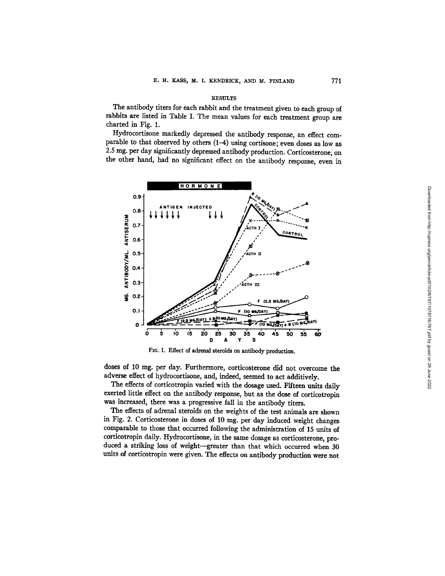#### **RESULTS**

The antibody titers for each rabbit and the treatment given to *each* group of rabbits are listed in Table I. The mean values for each treatment group are charted in Fig. 1.

Hydrocortisone markedly depressed the antibody response, an effect **comparable** to that observed by others (1-4) using cortisone; even doses as low as 2.5 mg. per day significantly depressed antibody production. Corticosterone, on the other hand, had no significant effect on the antibody response, even in



FIG. 1. Effect of adrenal steroids on antibody production.

doses of 10 mg. per day. Furthermore, corticosterone did not overcome the adverse effect of hydrocortisone, and, indeed, seemed to act additively.

The effects of corticotropin varied with the dosage used. Fifteen units daily exerted little effect on the antibody response, but as the dose of corticotropin was increased, there was a progressive fall in the antibody titers.

The effects of adrenal steroids on the weights of the test animals are shown in Fig. 2. Corticosterone in doses of 10 mg. per day induced weight changes comparable to those that occurred following the administration of 15 units of corticotropin daily. Hydrocortisone, in the same dosage as corticosterone, produced a striking loss of weight--greater than that which occurred when 30 units of corticotropin were given. The effects on antibody production were not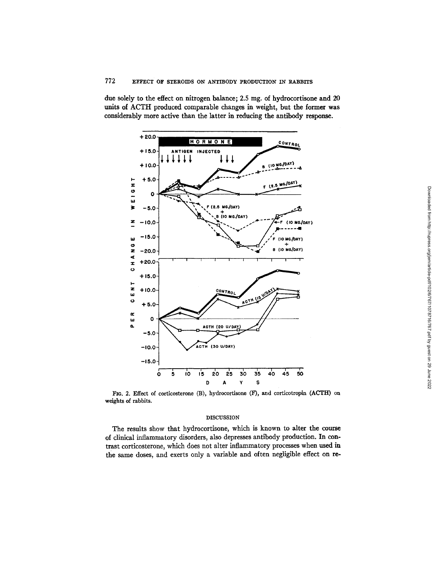due solely to the effect on nitrogen balance; 2.5 mg. of hydrocortisone and 20 units of ACTH produced comparable changes in weight, but the former was considerably more active than the latter in reducing the antibody response.



FIG. 2. Effect of corticosterone (B), hydrocortisone (F), and corticotropin (ACTH) on weights of rabbits.

## DISCUSSION

The results show that hydrocortisone, which is known to alter the course of clinical inflammatory disorders, also depresses antibody production. In contrast corticosterone, which does not alter inflammatory processes when used in the same doses, and exerts only a variable and often negligible effect on re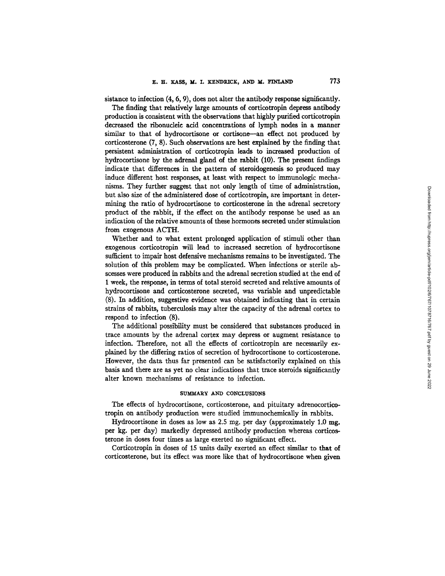sistance to infection (4, 6, 9), does not alter the antibody response significantly.

The finding that relatively large amounts of corticotropin depress antibody production is consistent with the observations that highly purified corticotropin decreased the ribonucleic acid concentrations of lymph nodes in a manner similar to that of hydrocortisone or cortisone--an effect not produced by corticosterone (7, 8). Such observations are best explained by the finding that persistent administration of corticotropin leads to increased production of hydrocortisone by the adrenal gland of the rabbit (10). The present findings indicate that differences in the pattern of steroidogenesis so produced may induce different host responses, at least with respect to immunologic mechanisms. They further suggest that not only length of time of administration, but also size of the administered dose of corticotropin, are important in determining the ratio of hydrocortisone to corticosterone in the adrenal secretory product of the rabbit, if the effect on the antibody response be used as an indication of the relative amounts of these hormones secreted under stimulation from exogenous ACTH.

Whether and to what extent prolonged application of stimuli other than exogenous corticotropin will lead to increased secretion of hydrocortisone sufficient to impair host defensive mechanisms remains to be investigated. The solution of this problem may be complicated. When infections or sterile abscesses were produced in rabbits and the adrenal secretion studied at the end of 1 week, the response, in terms of total steroid secreted and relative amounts of hydrocortisone and corticosterone secreted, was variable and unpredictable (8). In addition, suggestive evidence was obtained indicating that in certain strains of rabbits, tuberculosis may alter the capacity of the adrenal cortex to respond to infection (8).

The additional possibility must be considered that substances produced in trace amounts by the adrenal cortex may depress or augment resistance to infection. Therefore, not all the effects of corticotropin are necessarily explained by the differing ratios of secretion of hydrocortisone to corticosterone. However, the data thus far presented can be satisfactorily explained on this basis and there are as yet no clear indications that trace steroids significantly alter known mechanisms of resistance to infection.

### **SUMMARY AND CONCLUSIONS**

The effects of hydrocortisone, corticosterone, and pituitary adrenocorticotropin on antibody production were studied immunochemically in rabbits.

Hydrocortisone in doses as low as  $2.5$  mg. per day (approximately  $1.0$  mg. per kg. per day) markedly depressed antibody production whereas corticosterone in doses four times as large exerted no significant effect.

Corticotropln in doses of 15 units daily exerted an effect similar to that of corticosterone, but its effect was more like that of hydrocortisone when given